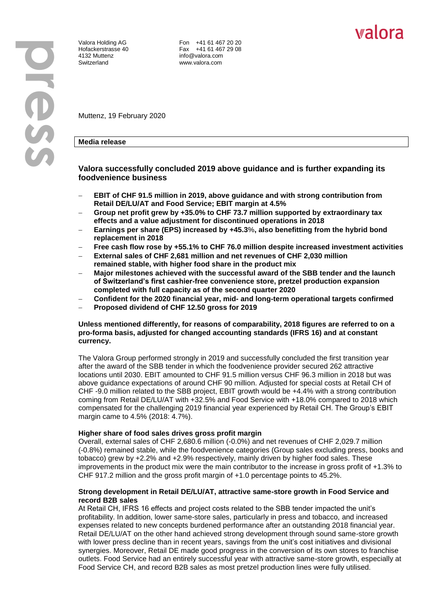4132 Muttenz info@valora.com Switzerland www.valora.com

Valora Holding AG **Fon +41 61 467 20 20** Hofackerstrasse 40 Fax +41 61 467 29 08

Muttenz, 19 February 2020

# **Media release**

# **Valora successfully concluded 2019 above guidance and is further expanding its foodvenience business**

- **EBIT of CHF 91.5 million in 2019, above guidance and with strong contribution from Retail DE/LU/AT and Food Service; EBIT margin at 4.5%**
- **Group net profit grew by +35.0% to CHF 73.7 million supported by extraordinary tax effects and a value adjustment for discontinued operations in 2018**
- **Earnings per share (EPS) increased by +45.3**%**, also benefitting from the hybrid bond replacement in 2018**
- **Free cash flow rose by +55.1% to CHF 76.0 million despite increased investment activities**
- **External sales of CHF 2,681 million and net revenues of CHF 2,030 million remained stable, with higher food share in the product mix**
- **Major milestones achieved with the successful award of the SBB tender and the launch of Switzerland's first cashier-free convenience store, pretzel production expansion completed with full capacity as of the second quarter 2020**
- **Confident for the 2020 financial year, mid- and long-term operational targets confirmed**
- **Proposed dividend of CHF 12.50 gross for 2019**

## **Unless mentioned differently, for reasons of comparability, 2018 figures are referred to on a pro-forma basis, adjusted for changed accounting standards (IFRS 16) and at constant currency.**

The Valora Group performed strongly in 2019 and successfully concluded the first transition year after the award of the SBB tender in which the foodvenience provider secured 262 attractive locations until 2030. EBIT amounted to CHF 91.5 million versus CHF 96.3 million in 2018 but was above guidance expectations of around CHF 90 million. Adjusted for special costs at Retail CH of CHF -9.0 million related to the SBB project, EBIT growth would be +4.4% with a strong contribution coming from Retail DE/LU/AT with +32.5% and Food Service with +18.0% compared to 2018 which compensated for the challenging 2019 financial year experienced by Retail CH. The Group's EBIT margin came to 4.5% (2018: 4.7%).

#### **Higher share of food sales drives gross profit margin**

Overall, external sales of CHF 2,680.6 million (-0.0%) and net revenues of CHF 2,029.7 million (-0.8%) remained stable, while the foodvenience categories (Group sales excluding press, books and tobacco) grew by +2.2% and +2.9% respectively, mainly driven by higher food sales. These improvements in the product mix were the main contributor to the increase in gross profit of +1.3% to CHF 917.2 million and the gross profit margin of +1.0 percentage points to 45.2%.

# **Strong development in Retail DE/LU/AT, attractive same-store growth in Food Service and record B2B sales**

At Retail CH, IFRS 16 effects and project costs related to the SBB tender impacted the unit's profitability. In addition, lower same-store sales, particularly in press and tobacco, and increased expenses related to new concepts burdened performance after an outstanding 2018 financial year. Retail DE/LU/AT on the other hand achieved strong development through sound same-store growth with lower press decline than in recent years, savings from the unit's cost initiatives and divisional synergies. Moreover, Retail DE made good progress in the conversion of its own stores to franchise outlets. Food Service had an entirely successful year with attractive same-store growth, especially at Food Service CH, and record B2B sales as most pretzel production lines were fully utilised.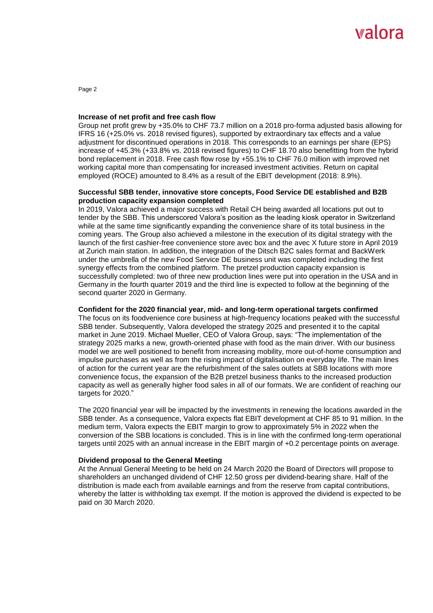# walora

Page 2

#### **Increase of net profit and free cash flow**

Group net profit grew by +35.0% to CHF 73.7 million on a 2018 pro-forma adjusted basis allowing for IFRS 16 (+25.0% vs. 2018 revised figures), supported by extraordinary tax effects and a value adjustment for discontinued operations in 2018. This corresponds to an earnings per share (EPS) increase of +45.3% (+33.8% vs. 2018 revised figures) to CHF 18.70 also benefitting from the hybrid bond replacement in 2018. Free cash flow rose by +55.1% to CHF 76.0 million with improved net working capital more than compensating for increased investment activities. Return on capital employed (ROCE) amounted to 8.4% as a result of the EBIT development (2018: 8.9%).

## **Successful SBB tender, innovative store concepts, Food Service DE established and B2B production capacity expansion completed**

In 2019, Valora achieved a major success with Retail CH being awarded all locations put out to tender by the SBB. This underscored Valora's position as the leading kiosk operator in Switzerland while at the same time significantly expanding the convenience share of its total business in the coming years. The Group also achieved a milestone in the execution of its digital strategy with the launch of the first cashier-free convenience store avec box and the avec X future store in April 2019 at Zurich main station. In addition, the integration of the Ditsch B2C sales format and BackWerk under the umbrella of the new Food Service DE business unit was completed including the first synergy effects from the combined platform. The pretzel production capacity expansion is successfully completed: two of three new production lines were put into operation in the USA and in Germany in the fourth quarter 2019 and the third line is expected to follow at the beginning of the second quarter 2020 in Germany.

# **Confident for the 2020 financial year, mid- and long-term operational targets confirmed**

The focus on its foodvenience core business at high-frequency locations peaked with the successful SBB tender. Subsequently, Valora developed the strategy 2025 and presented it to the capital market in June 2019. Michael Mueller, CEO of Valora Group, says: "The implementation of the strategy 2025 marks a new, growth-oriented phase with food as the main driver. With our business model we are well positioned to benefit from increasing mobility, more out-of-home consumption and impulse purchases as well as from the rising impact of digitalisation on everyday life. The main lines of action for the current year are the refurbishment of the sales outlets at SBB locations with more convenience focus, the expansion of the B2B pretzel business thanks to the increased production capacity as well as generally higher food sales in all of our formats. We are confident of reaching our targets for 2020."

The 2020 financial year will be impacted by the investments in renewing the locations awarded in the SBB tender. As a consequence, Valora expects flat EBIT development at CHF 85 to 91 million. In the medium term, Valora expects the EBIT margin to grow to approximately 5% in 2022 when the conversion of the SBB locations is concluded. This is in line with the confirmed long-term operational targets until 2025 with an annual increase in the EBIT margin of +0.2 percentage points on average.

#### **Dividend proposal to the General Meeting**

At the Annual General Meeting to be held on 24 March 2020 the Board of Directors will propose to shareholders an unchanged dividend of CHF 12.50 gross per dividend-bearing share. Half of the distribution is made each from available earnings and from the reserve from capital contributions, whereby the latter is withholding tax exempt. If the motion is approved the dividend is expected to be paid on 30 March 2020.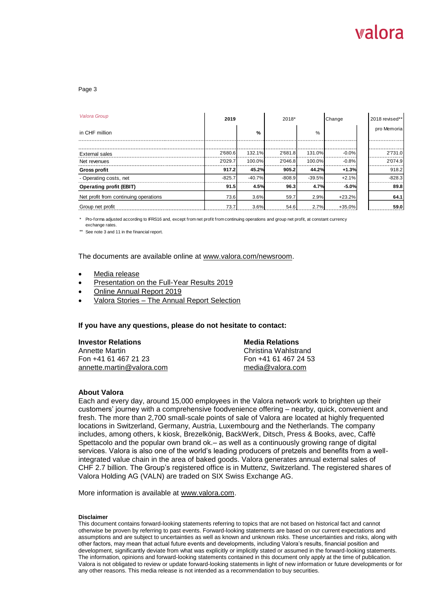# Walora

#### Page 3

| <b>Valora Group</b>                   | 2019     |               | 2018*    |               | Change   | 2018 revised** |
|---------------------------------------|----------|---------------|----------|---------------|----------|----------------|
| in CHF million                        |          | $\frac{9}{6}$ |          | $\frac{0}{0}$ |          | pro Memoria    |
|                                       |          |               |          |               |          |                |
| <b>External sales</b>                 | 2'680.6  | 132.1%        | 2'681.8  | 131.0%        | $-0.0%$  | 2'731.0        |
| Net revenues                          | 2'029.7  | 100.0%        | 2'046.8  | 100.0%        | $-0.8%$  | 2'074.9        |
| <b>Gross profit</b>                   | 917.2    | 45.2%         | 905.2    | 44.2%         | $+1.3%$  | 918.2          |
| - Operating costs, net                | $-825.7$ | $-40.7%$      | $-808.9$ | $-39.5%$      | $+2.1%$  | $-828.3$       |
| <b>Operating profit (EBIT)</b>        | 91.5     | 4.5%          | 96.3     | 4.7%          | $-5.0%$  | 89.8           |
| Net profit from continuing operations | 73.6     | 3.6%          | 59.7     | 2.9%          | $+23.2%$ | 64.1           |
| Group net profit                      | 73.7     | 3.6%          | 54.6     | 2.7%          | $+35.0%$ | 59.0           |

\* Pro-forma adjusted according to IFRS16 and, except from net profit from continuing operations and group net profit, at constant currency exchange rates.

\*\* See note 3 and 11 in the financial report.

The documents are available online at [www.valora.com/newsroom.](http://www.valora.com/en/newsroom)

- Media [release](https://www.valora.com/en/newsroom/pressreleases/)
- [Presentation on the Full-Year Results 2019](https://www.valora.com/media/investors/documents/en/presentations/2020/2019_fy_results_presentation_en.pdf)
- [Online Annual Report 2019](https://www.valora.com/annualreport/2019/en/)
- Valora Stories [The Annual Report Selection](https://stories.valora.com/en/tag/the-annual-report-selection-2019/)

#### **If you have any questions, please do not hesitate to contact:**

| <b>Investor Relations</b> | <b>Media Relations</b> |
|---------------------------|------------------------|
| Annette Martin            | Christina Wahlstrand   |
| Fon +41 61 467 21 23      | Fon +41 61 467 24 53   |
| annette.martin@valora.com | media@valora.com       |

#### **About Valora**

Each and every day, around 15,000 employees in the Valora network work to brighten up their customers' journey with a comprehensive foodvenience offering – nearby, quick, convenient and fresh. The more than 2,700 small-scale points of sale of Valora are located at highly frequented locations in Switzerland, Germany, Austria, Luxembourg and the Netherlands. The company includes, among others, k kiosk, Brezelkönig, BackWerk, Ditsch, Press & Books, avec, Caffè Spettacolo and the popular own brand ok.– as well as a continuously growing range of digital services. Valora is also one of the world's leading producers of pretzels and benefits from a wellintegrated value chain in the area of baked goods. Valora generates annual external sales of CHF 2.7 billion. The Group's registered office is in Muttenz, Switzerland. The registered shares of Valora Holding AG (VALN) are traded on SIX Swiss Exchange AG.

More information is available at [www.valora.com.](https://www.valora.com/en/)

#### **Disclaimer**

This document contains forward-looking statements referring to topics that are not based on historical fact and cannot otherwise be proven by referring to past events. Forward-looking statements are based on our current expectations and assumptions and are subject to uncertainties as well as known and unknown risks. These uncertainties and risks, along with other factors, may mean that actual future events and developments, including Valora's results, financial position and development, significantly deviate from what was explicitly or implicitly stated or assumed in the forward-looking statements. The information, opinions and forward-looking statements contained in this document only apply at the time of publication. Valora is not obligated to review or update forward-looking statements in light of new information or future developments or for any other reasons. This media release is not intended as a recommendation to buy securities.